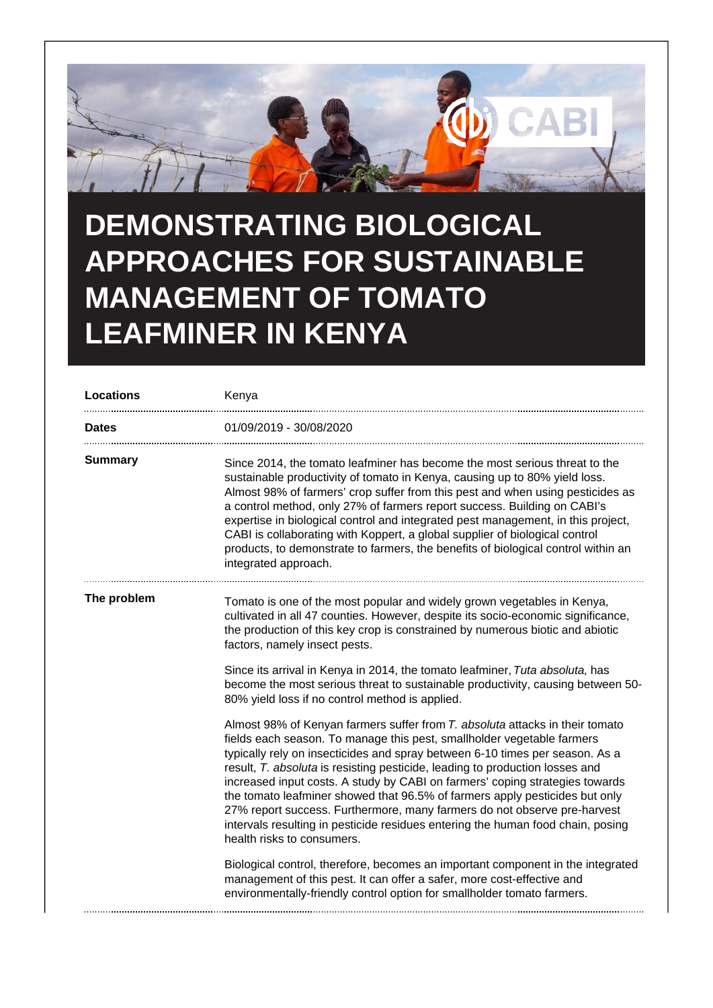

## **DEMONSTRATING BIOLOGICAL APPROACHES FOR SUSTAINABLE MANAGEMENT OF TOMATO LEAFMINER IN KENYA**

| <b>Locations</b> | Kenya                                                                                                                                                                                                                                                                                                                                                                                                                                                                                                                                                                                                                                                                              |  |  |
|------------------|------------------------------------------------------------------------------------------------------------------------------------------------------------------------------------------------------------------------------------------------------------------------------------------------------------------------------------------------------------------------------------------------------------------------------------------------------------------------------------------------------------------------------------------------------------------------------------------------------------------------------------------------------------------------------------|--|--|
| Dates            | 01/09/2019 - 30/08/2020                                                                                                                                                                                                                                                                                                                                                                                                                                                                                                                                                                                                                                                            |  |  |
| <b>Summary</b>   | Since 2014, the tomato leafminer has become the most serious threat to the<br>sustainable productivity of tomato in Kenya, causing up to 80% yield loss.<br>Almost 98% of farmers' crop suffer from this pest and when using pesticides as<br>a control method, only 27% of farmers report success. Building on CABI's<br>expertise in biological control and integrated pest management, in this project,<br>CABI is collaborating with Koppert, a global supplier of biological control<br>products, to demonstrate to farmers, the benefits of biological control within an<br>integrated approach.                                                                             |  |  |
| The problem      | Tomato is one of the most popular and widely grown vegetables in Kenya,<br>cultivated in all 47 counties. However, despite its socio-economic significance,<br>the production of this key crop is constrained by numerous biotic and abiotic<br>factors, namely insect pests.                                                                                                                                                                                                                                                                                                                                                                                                      |  |  |
|                  | Since its arrival in Kenya in 2014, the tomato leafminer, Tuta absoluta, has<br>become the most serious threat to sustainable productivity, causing between 50-<br>80% yield loss if no control method is applied.                                                                                                                                                                                                                                                                                                                                                                                                                                                                 |  |  |
|                  | Almost 98% of Kenyan farmers suffer from T. absoluta attacks in their tomato<br>fields each season. To manage this pest, smallholder vegetable farmers<br>typically rely on insecticides and spray between 6-10 times per season. As a<br>result, T. absoluta is resisting pesticide, leading to production losses and<br>increased input costs. A study by CABI on farmers' coping strategies towards<br>the tomato leafminer showed that 96.5% of farmers apply pesticides but only<br>27% report success. Furthermore, many farmers do not observe pre-harvest<br>intervals resulting in pesticide residues entering the human food chain, posing<br>health risks to consumers. |  |  |
|                  | Biological control, therefore, becomes an important component in the integrated<br>management of this pest. It can offer a safer, more cost-effective and<br>environmentally-friendly control option for smallholder tomato farmers.                                                                                                                                                                                                                                                                                                                                                                                                                                               |  |  |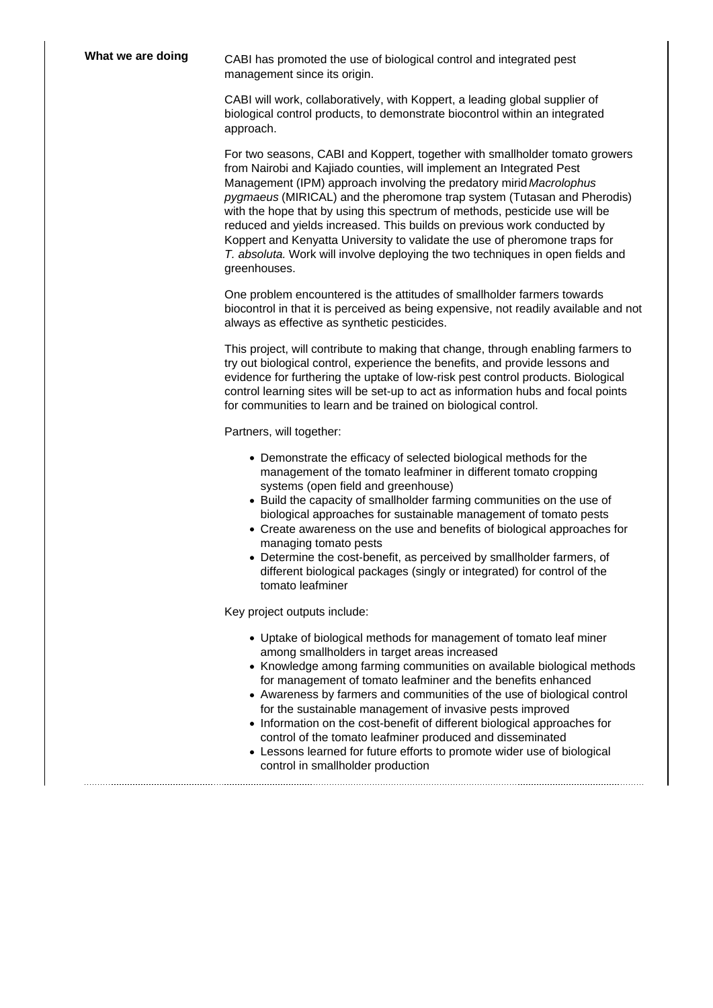What we are doing CABI has promoted the use of biological control and integrated pest management since its origin.

> CABI will work, collaboratively, with Koppert, a leading global supplier of biological control products, to demonstrate biocontrol within an integrated approach.

For two seasons, CABI and Koppert, together with smallholder tomato growers from Nairobi and Kajiado counties, will implement an Integrated Pest Management (IPM) approach involving the predatory mirid Macrolophus pygmaeus (MIRICAL) and the pheromone trap system (Tutasan and Pherodis) with the hope that by using this spectrum of methods, pesticide use will be reduced and yields increased. This builds on previous work conducted by Koppert and Kenyatta University to validate the use of pheromone traps for T. absoluta. Work will involve deploying the two techniques in open fields and greenhouses.

One problem encountered is the attitudes of smallholder farmers towards biocontrol in that it is perceived as being expensive, not readily available and not always as effective as synthetic pesticides.

This project, will contribute to making that change, through enabling farmers to try out biological control, experience the benefits, and provide lessons and evidence for furthering the uptake of low-risk pest control products. Biological control learning sites will be set-up to act as information hubs and focal points for communities to learn and be trained on biological control.

Partners, will together:

- Demonstrate the efficacy of selected biological methods for the management of the tomato leafminer in different tomato cropping systems (open field and greenhouse)
- Build the capacity of smallholder farming communities on the use of biological approaches for sustainable management of tomato pests
- Create awareness on the use and benefits of biological approaches for managing tomato pests
- Determine the cost-benefit, as perceived by smallholder farmers, of different biological packages (singly or integrated) for control of the tomato leafminer

Key project outputs include:

- Uptake of biological methods for management of tomato leaf miner among smallholders in target areas increased
- Knowledge among farming communities on available biological methods for management of tomato leafminer and the benefits enhanced
- Awareness by farmers and communities of the use of biological control for the sustainable management of invasive pests improved
- Information on the cost-benefit of different biological approaches for control of the tomato leafminer produced and disseminated
- Lessons learned for future efforts to promote wider use of biological control in smallholder production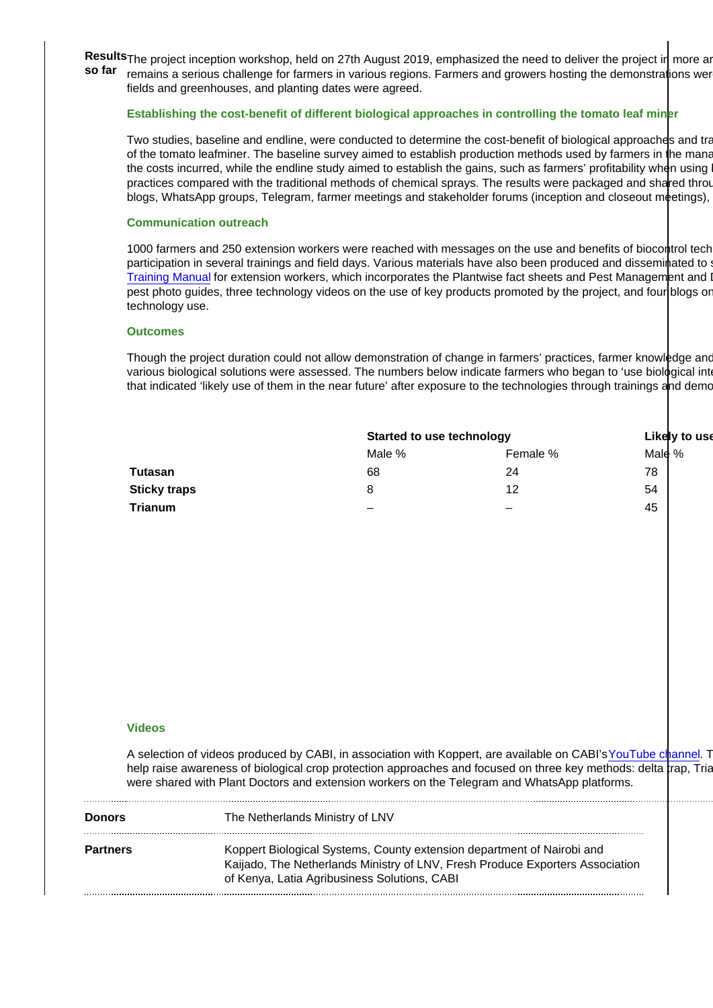Results The project inception workshop, held on 27th August 2019, emphasized the need to deliver the project in more ar so far remains a serious challenge for farmers in various regions. Farmers and growers hosting the demonstrations were fields and greenhouses, and planting dates were agreed.

### Establishing the cost-benefit of different biological approaches in controlling the tomato leaf miner

Two studies, baseline and endline, were conducted to determine the cost-benefit of biological approaches and tra of the tomato leafminer. The baseline survey aimed to establish production methods used by farmers in the mana the costs incurred, while the endline study aimed to establish the gains, such as farmers' profitability when using practices compared with the traditional methods of chemical sprays. The results were packaged and shared through blogs, WhatsApp groups, Telegram, farmer meetings and stakeholder forums (inception and closeout meetings),

### Communication outreach

1000 farmers and 250 extension workers were reached with messages on the use and benefits of biocontrol tech participation in several trainings and field days. Various materials have also been produced and disseminated to [Training Manual](https://www.cabi.org/wp-content/uploads/TUTA-Extension-Worker-Manual-FINAL.pdf) for extension workers, which incorporates the Plantwise fact sheets and Pest Management and I pest photo guides, three technology videos on the use of key products promoted by the project, and four blogs on technology use.

### **Outcomes**

Though the project duration could not allow demonstration of change in farmers' practices, farmer knowledge and various biological solutions were assessed. The numbers below indicate farmers who began to 'use biological inter that indicated 'likely use of them in the near future' after exposure to the technologies through trainings and demo

|              | Started to use technology               | Likely to use   |        |
|--------------|-----------------------------------------|-----------------|--------|
|              | Male %                                  | Female %        | Male % |
| Tutasan      | 68                                      | 24              | 78     |
| Sticky traps |                                         | 12              | 54     |
| Trianum      | $\qquad \qquad \  \  \, -\qquad \qquad$ | $\qquad \qquad$ | 45     |

#### Videos

A selection of videos produced by CABI, in association with Koppert, are available on CABI's [YouTube channel.](https://www.youtube.com/playlist?list=PLA6tUPK41nmjI8kdVjGVMUXtD2ZTh6SPV) T help raise awareness of biological crop protection approaches and focused on three key methods: delta trap. Tria were shared with Plant Doctors and extension workers on the Telegram and WhatsApp platforms.

| <b>Donors</b> | The Netherlands Ministry of LNV                                                                                                                                                                         |
|---------------|---------------------------------------------------------------------------------------------------------------------------------------------------------------------------------------------------------|
| Partners      | Koppert Biological Systems, County extension department of Nairobi and<br>Kaijado, The Netherlands Ministry of LNV, Fresh Produce Exporters Association<br>of Kenya, Latia Agribusiness Solutions, CABI |